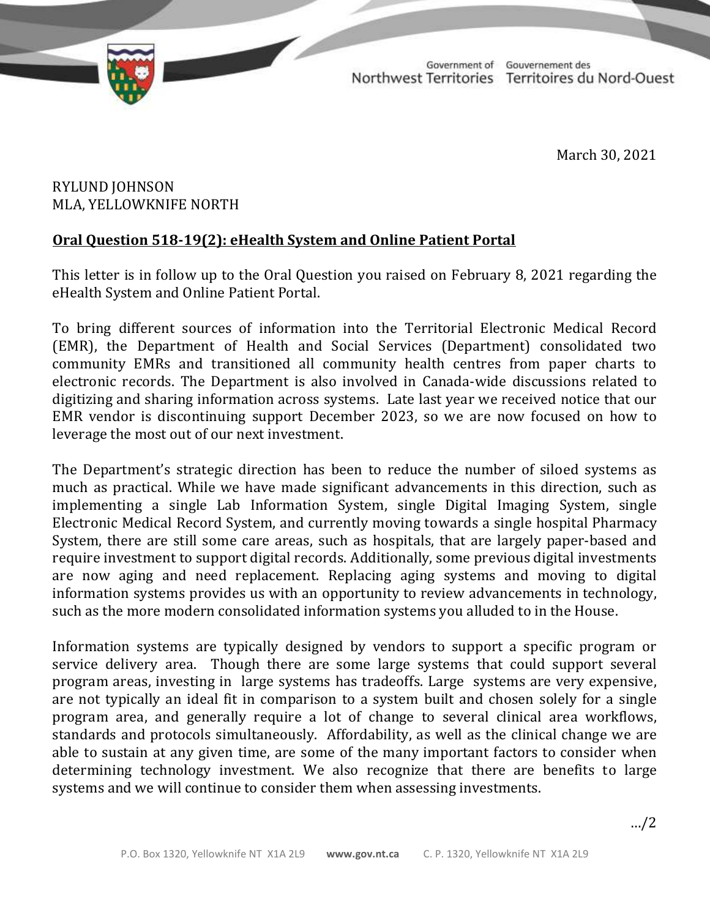

TD 376-19(2) TABLED ON MARCH 31, 2021

Government of Gouvernement des Northwest Territories Territoires du Nord-Ouest

March 30, 2021

## RYLUND JOHNSON MLA, YELLOWKNIFE NORTH

## **Oral Question 518-19(2): eHealth System and Online Patient Portal**

This letter is in follow up to the Oral Question you raised on February 8, 2021 regarding the eHealth System and Online Patient Portal.

To bring different sources of information into the Territorial Electronic Medical Record (EMR), the Department of Health and Social Services (Department) consolidated two community EMRs and transitioned all community health centres from paper charts to electronic records. The Department is also involved in Canada-wide discussions related to digitizing and sharing information across systems. Late last year we received notice that our EMR vendor is discontinuing support December 2023, so we are now focused on how to leverage the most out of our next investment.

The Department's strategic direction has been to reduce the number of siloed systems as much as practical. While we have made significant advancements in this direction, such as implementing a single Lab Information System, single Digital Imaging System, single Electronic Medical Record System, and currently moving towards a single hospital Pharmacy System, there are still some care areas, such as hospitals, that are largely paper-based and require investment to support digital records. Additionally, some previous digital investments are now aging and need replacement. Replacing aging systems and moving to digital information systems provides us with an opportunity to review advancements in technology, such as the more modern consolidated information systems you alluded to in the House.

Information systems are typically designed by vendors to support a specific program or service delivery area. Though there are some large systems that could support several program areas, investing in large systems has tradeoffs. Large systems are very expensive, are not typically an ideal fit in comparison to a system built and chosen solely for a single program area, and generally require a lot of change to several clinical area workflows, standards and protocols simultaneously. Affordability, as well as the clinical change we are able to sustain at any given time, are some of the many important factors to consider when determining technology investment. We also recognize that there are benefits to large systems and we will continue to consider them when assessing investments.